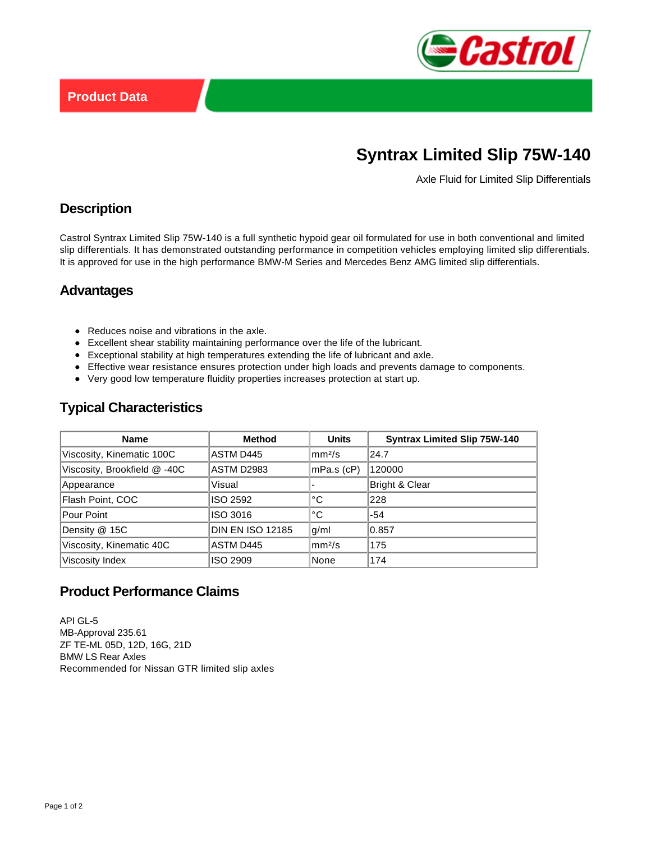

# **Syntrax Limited Slip 75W-140**

Axle Fluid for Limited Slip Differentials

### **Description**

Castrol Syntrax Limited Slip 75W-140 is a full synthetic hypoid gear oil formulated for use in both conventional and limited slip differentials. It has demonstrated outstanding performance in competition vehicles employing limited slip differentials. It is approved for use in the high performance BMW-M Series and Mercedes Benz AMG limited slip differentials.

#### **Advantages**

- Reduces noise and vibrations in the axle.
- Excellent shear stability maintaining performance over the life of the lubricant.
- Exceptional stability at high temperatures extending the life of lubricant and axle.
- Effective wear resistance ensures protection under high loads and prevents damage to components.
- Very good low temperature fluidity properties increases protection at start up.

# **Typical Characteristics**

| <b>Name</b>                 | <b>Method</b>           | <b>Units</b>       | <b>Syntrax Limited Slip 75W-140</b> |
|-----------------------------|-------------------------|--------------------|-------------------------------------|
| Viscosity, Kinematic 100C   | ASTM D445               | mm <sup>2</sup> /s | 24.7                                |
| Viscosity, Brookfield @-40C | <b>ASTM D2983</b>       | mPa.s (cP)         | 120000                              |
| Appearance                  | Visual                  |                    | <b>Bright &amp; Clear</b>           |
| Flash Point, COC            | ISO 2592                | °C                 | 228                                 |
| Pour Point                  | ISO 3016                | °C                 | $-54$                               |
| Density @ 15C               | <b>DIN EN ISO 12185</b> | g/ml               | 0.857                               |
| Viscosity, Kinematic 40C    | ASTM D445               | mm <sup>2</sup> /s | 175                                 |
| Viscosity Index             | <b>ISO 2909</b>         | None               | 174                                 |

# **Product Performance Claims**

API GL-5 MB-Approval 235.61 ZF TE-ML 05D, 12D, 16G, 21D BMW LS Rear Axles Recommended for Nissan GTR limited slip axles